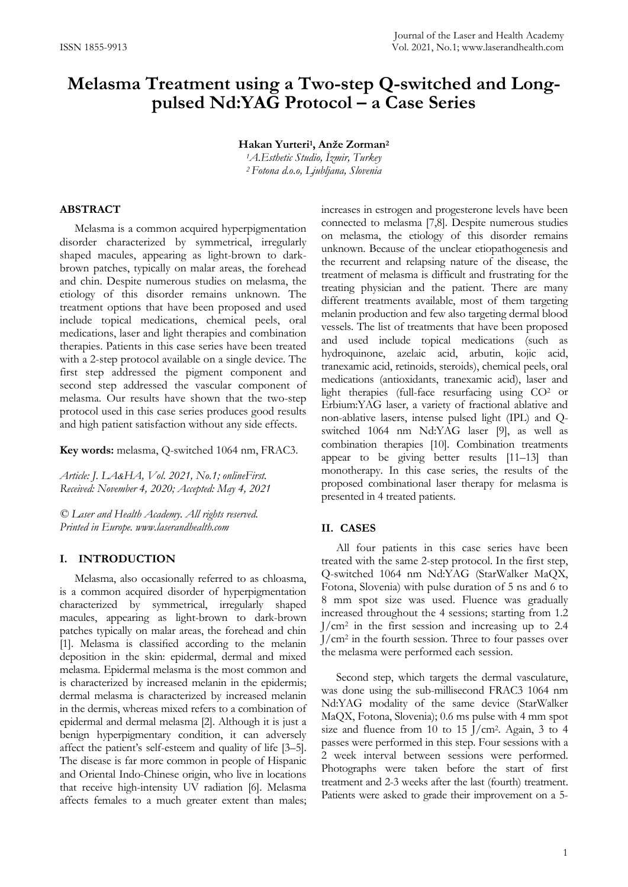# **Melasma Treatment using a Two-step Q-switched and Longpulsed Nd:YAG Protocol – a Case Series**

**Hakan Yurteri1, Anže Zorman<sup>2</sup>**

*<sup>1</sup>A.Esthetic Studio, İzmir, Turkey <sup>2</sup> Fotona d.o.o, Ljubljana, Slovenia*

## **ABSTRACT**

Melasma is a common acquired hyperpigmentation disorder characterized by symmetrical, irregularly shaped macules, appearing as light-brown to darkbrown patches, typically on malar areas, the forehead and chin. Despite numerous studies on melasma, the etiology of this disorder remains unknown. The treatment options that have been proposed and used include topical medications, chemical peels, oral medications, laser and light therapies and combination therapies. Patients in this case series have been treated with a 2-step protocol available on a single device. The first step addressed the pigment component and second step addressed the vascular component of melasma. Our results have shown that the two-step protocol used in this case series produces good results and high patient satisfaction without any side effects.

**Key words:** melasma, Q-switched 1064 nm, FRAC3.

*Article: J. LA&HA, Vol. 2021, No.1; onlineFirst. Received: November 4, 2020; Accepted: May 4, 2021*

*© Laser and Health Academy. All rights reserved. Printed in Europe. www.laserandhealth.com*

## **I. INTRODUCTION**

Melasma, also occasionally referred to as chloasma, is a common acquired disorder of hyperpigmentation characterized by symmetrical, irregularly shaped macules, appearing as light-brown to dark-brown patches typically on malar areas, the forehead and chin [1]. Melasma is classified according to the melanin deposition in the skin: epidermal, dermal and mixed melasma. Epidermal melasma is the most common and is characterized by increased melanin in the epidermis; dermal melasma is characterized by increased melanin in the dermis, whereas mixed refers to a combination of epidermal and dermal melasma [2]. Although it is just a benign hyperpigmentary condition, it can adversely affect the patient's self-esteem and quality of life [3–5]. The disease is far more common in people of Hispanic and Oriental Indo-Chinese origin, who live in locations that receive high-intensity UV radiation [6]. Melasma affects females to a much greater extent than males;

increases in estrogen and progesterone levels have been connected to melasma [7,8]. Despite numerous studies on melasma, the etiology of this disorder remains unknown. Because of the unclear etiopathogenesis and the recurrent and relapsing nature of the disease, the treatment of melasma is difficult and frustrating for the treating physician and the patient. There are many different treatments available, most of them targeting melanin production and few also targeting dermal blood vessels. The list of treatments that have been proposed and used include topical medications (such as hydroquinone, azelaic acid, arbutin, kojic acid, tranexamic acid, retinoids, steroids), chemical peels, oral medications (antioxidants, tranexamic acid), laser and light therapies (full-face resurfacing using CO2 or Erbium:YAG laser, a variety of fractional ablative and non-ablative lasers, intense pulsed light (IPL) and Qswitched 1064 nm Nd:YAG laser [9], as well as combination therapies [10]. Combination treatments appear to be giving better results [11–13] than monotherapy. In this case series, the results of the proposed combinational laser therapy for melasma is presented in 4 treated patients.

## **II. CASES**

All four patients in this case series have been treated with the same 2-step protocol. In the first step, Q-switched 1064 nm Nd:YAG (StarWalker MaQX, Fotona, Slovenia) with pulse duration of 5 ns and 6 to 8 mm spot size was used. Fluence was gradually increased throughout the 4 sessions; starting from 1.2  $J/cm<sup>2</sup>$  in the first session and increasing up to 2.4 J/cm2 in the fourth session. Three to four passes over the melasma were performed each session.

Second step, which targets the dermal vasculature, was done using the sub-millisecond FRAC3 1064 nm Nd:YAG modality of the same device (StarWalker MaQX, Fotona, Slovenia); 0.6 ms pulse with 4 mm spot size and fluence from 10 to 15  $J/cm<sup>2</sup>$ . Again, 3 to 4 passes were performed in this step. Four sessions with a 2 week interval between sessions were performed. Photographs were taken before the start of first treatment and 2-3 weeks after the last (fourth) treatment. Patients were asked to grade their improvement on a 5-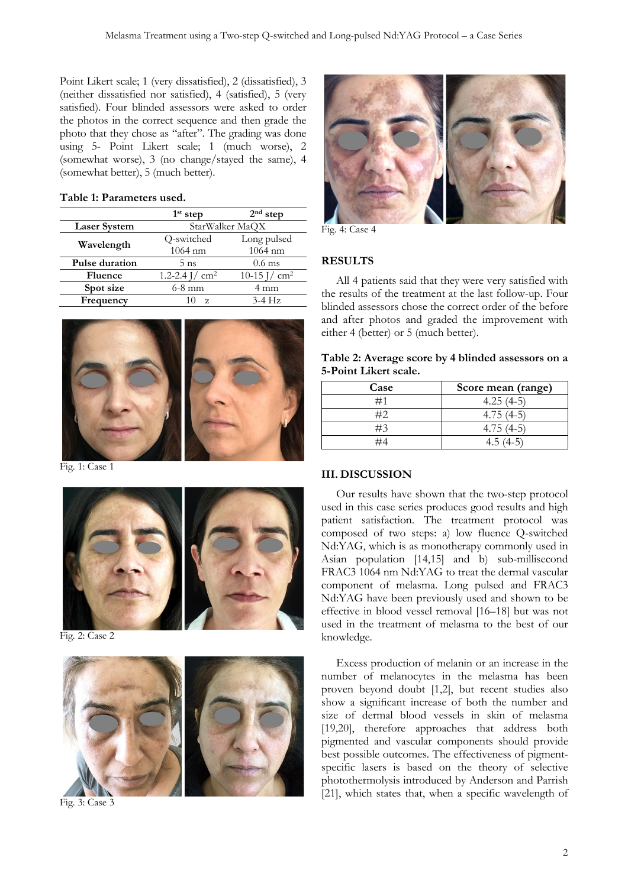Point Likert scale; 1 (very dissatisfied), 2 (dissatisfied), 3 (neither dissatisfied nor satisfied), 4 (satisfied), 5 (very satisfied). Four blinded assessors were asked to order the photos in the correct sequence and then grade the photo that they chose as "after". The grading was done using 5- Point Likert scale; 1 (much worse), 2 (somewhat worse), 3 (no change/stayed the same), 4 (somewhat better), 5 (much better).

### **Table 1: Parameters used.**

|                     | $1st$ step                      | $2nd$ step                    |  |
|---------------------|---------------------------------|-------------------------------|--|
| <b>Laser System</b> | StarWalker MaQX                 |                               |  |
| Wavelength          | Q-switched                      | Long pulsed                   |  |
|                     | $1064$ nm                       | $1064$ nm                     |  |
| Pulse duration      | $5$ ns                          | $0.6$ ms                      |  |
| <b>Fluence</b>      | 1.2-2.4 $\frac{1}{\text{cm}^2}$ | 10-15 $\frac{1}{\text{cm}^2}$ |  |
| Spot size           | $6-8$ mm                        | 4 mm                          |  |
| Frequency           | 10<br>$\mathbf{z}$              | $3-4$ Hz                      |  |



Fig. 1: Case 1



Fig. 2: Case 2



Fig. 3: Case 3



Fig. 4: Case 4

## **RESULTS**

All 4 patients said that they were very satisfied with the results of the treatment at the last follow-up. Four blinded assessors chose the correct order of the before and after photos and graded the improvement with either 4 (better) or 5 (much better).

| Table 2: Average score by 4 blinded assessors on a |  |  |
|----------------------------------------------------|--|--|
| 5-Point Likert scale.                              |  |  |

| Case | Score mean (range) |
|------|--------------------|
| ≖    | $4.25(4-5)$        |
|      | $4.75^{\circ}$     |
| #3   | $4.75(4-5)$        |
|      |                    |

## **III. DISCUSSION**

Our results have shown that the two-step protocol used in this case series produces good results and high patient satisfaction. The treatment protocol was composed of two steps: a) low fluence Q-switched Nd:YAG, which is as monotherapy commonly used in Asian population [14,15] and b) sub-millisecond FRAC3 1064 nm Nd:YAG to treat the dermal vascular component of melasma. Long pulsed and FRAC3 Nd:YAG have been previously used and shown to be effective in blood vessel removal [16–18] but was not used in the treatment of melasma to the best of our knowledge.

Excess production of melanin or an increase in the number of melanocytes in the melasma has been proven beyond doubt [1,2], but recent studies also show a significant increase of both the number and size of dermal blood vessels in skin of melasma [19,20], therefore approaches that address both pigmented and vascular components should provide best possible outcomes. The effectiveness of pigmentspecific lasers is based on the theory of selective photothermolysis introduced by Anderson and Parrish [21], which states that, when a specific wavelength of